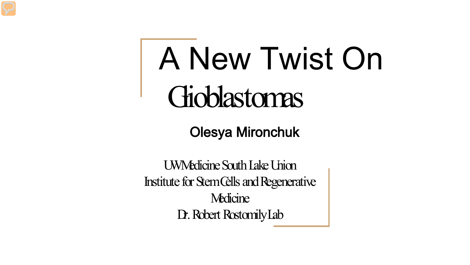## A New Twist On Gioblastomas

Olesya Mironchuk

UW Medicine South Lake Union Institute for Stem Cells and Regenerative **Medicine** Dr. Robert Rostomily Lab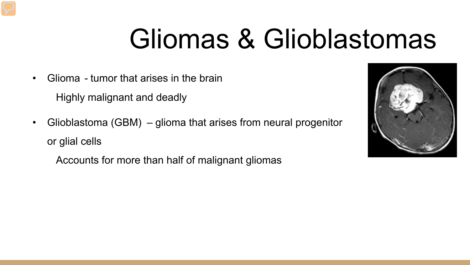#### Gliomas & Glioblastomas

- Glioma tumor that arises in the brain Highly malignant and deadly
- Glioblastoma (GBM) glioma that arises from neural progenitor or glial cells

Accounts for more than half of malignant gliomas

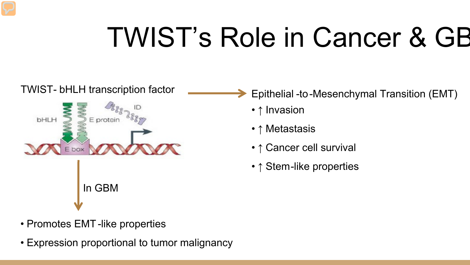### TWIST's Role in Cancer & GB

# TWIST- bHLH transcription factor **Example 20 Existed Audit Accept** Epithelial -to-Mesenchymal Transition (EMT) **bHLH** In GBM

- - ↑ Invasion
	- ↑ Metastasis
	- ↑ Cancer cell survival
	- ↑ Stem-like properties

- Promotes EMT-like properties
- Expression proportional to tumor malignancy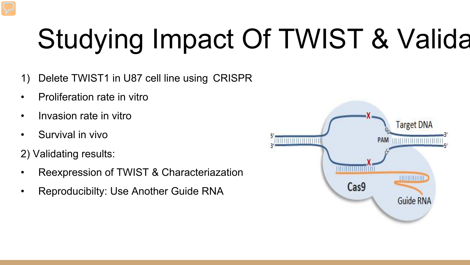## Studying Impact Of TWIST & Valida

- 1) Delete TWIST1 in U87 cell line using CRISPR
- Proliferation rate in vitro
- Invasion rate in vitro
- Survival in vivo
- 2) Validating results:
- Reexpression of TWIST & Characteriazation
- Reproducibilty: Use Another Guide RNA

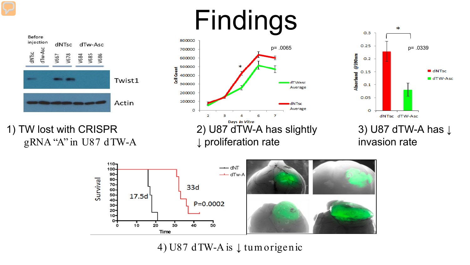#### Findings



1) TW lost with CRISPR gRNA "A" in U87 dTW-A





3) U87 dTW-A has ↓ invasion rate



4) U87 dTW-A is ↓ tum origenic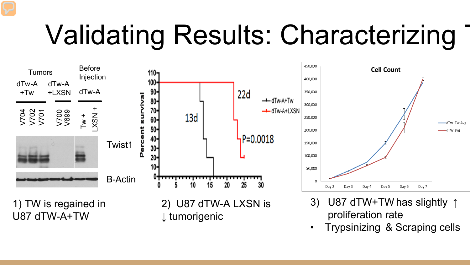### Validating Results: Characterizing



• Trypsinizing & Scraping cells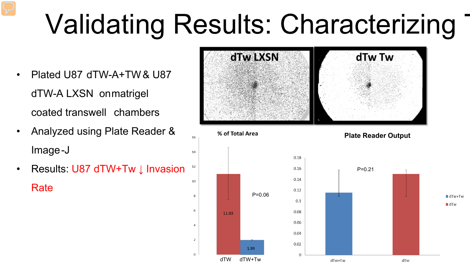## Validating Results: Characterizing

16

14

10

6

 $\overline{4}$ 

 $\overline{2}$ 

 $\circ$ 

- Plated U87 dTW-A+TW & U87 dTW-A LXSN on matrigel coated transwell chambers
- Analyzed using Plate Reader & Image-J
- Results: U87 dTW+Tw  $\downarrow$  Invasion Rate



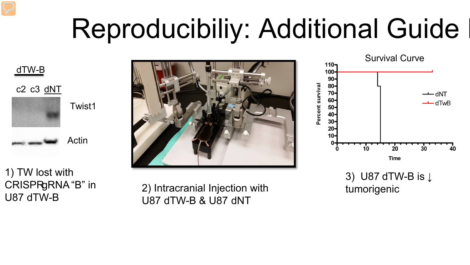#### Reproducibiliy: Additional Guide





1) TW lost with CRISPR<sub>gRNA</sub>"B" in U87 dTW-B



2) Intracranial Injection with tumorigenic U87 dTW-B & U87 dNT



3) U87 dTW-B is ↓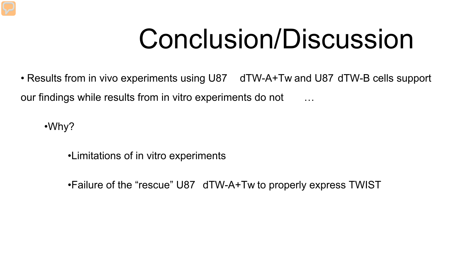#### Conclusion/Discussion

• Results from in vivo experiments using U87 dTW-A+Tw and U87 dTW-B cells support our findings while results from in vitro experiments do not

•Why?

•Limitations of in vitro experiments

•Failure of the "rescue" U87 dTW-A+Tw to properly express TWIST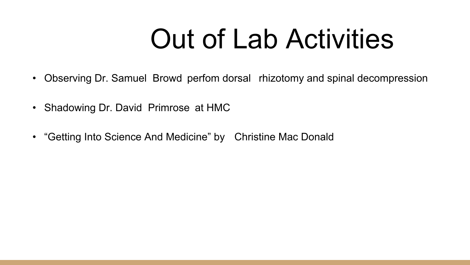#### Out of Lab Activities

- Observing Dr. Samuel Browd perfom dorsal rhizotomy and spinal decompression
- Shadowing Dr. David Primrose at HMC
- "Getting Into Science And Medicine" by Christine Mac Donald